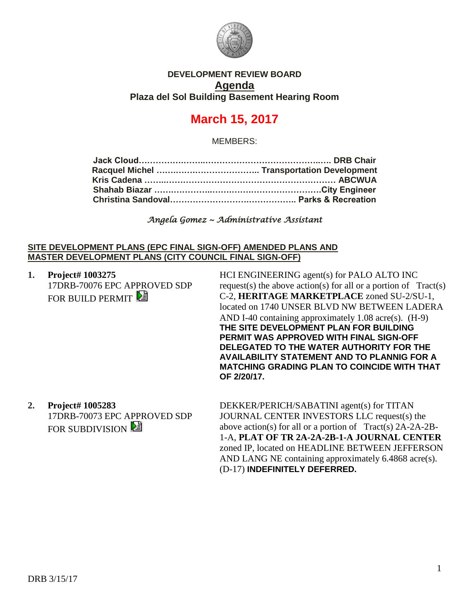

## **DEVELOPMENT REVIEW BOARD Agenda Plaza del Sol Building Basement Hearing Room**

# **March 15, 2017**

MEMBERS:

*Angela Gomez ~ Administrative Assistant*

#### **SITE DEVELOPMENT PLANS (EPC FINAL SIGN-OFF) AMENDED PLANS AND MASTER DEVELOPMENT PLANS (CITY COUNCIL FINAL SIGN-OFF)**

**1. Project# 1003275** 17DRB-70076 EPC APPROVED SDP FOR BUILD PERMIT

HCI ENGINEERING agent(s) for PALO ALTO INC request(s) the above action(s) for all or a portion of  $Tract(s)$ C-2, **HERITAGE MARKETPLACE** zoned SU-2/SU-1, located on 1740 UNSER BLVD NW BETWEEN LADERA AND I-40 containing approximately 1.08 acre(s). (H-9) **THE SITE DEVELOPMENT PLAN FOR BUILDING PERMIT WAS APPROVED WITH FINAL SIGN-OFF DELEGATED TO THE WATER AUTHORITY FOR THE AVAILABILITY STATEMENT AND TO PLANNIG FOR A MATCHING GRADING PLAN TO COINCIDE WITH THAT OF 2/20/17.**

**2. Project# 1005283** 17DRB-70073 EPC APPROVED SDP FOR SUBDIVISION

DEKKER/PERICH/SABATINI agent(s) for TITAN JOURNAL CENTER INVESTORS LLC request(s) the above action(s) for all or a portion of Tract(s) 2A-2A-2B-1-A, **PLAT OF TR 2A-2A-2B-1-A JOURNAL CENTER** zoned IP, located on HEADLINE BETWEEN JEFFERSON AND LANG NE containing approximately 6.4868 acre(s). (D-17) **INDEFINITELY DEFERRED.**